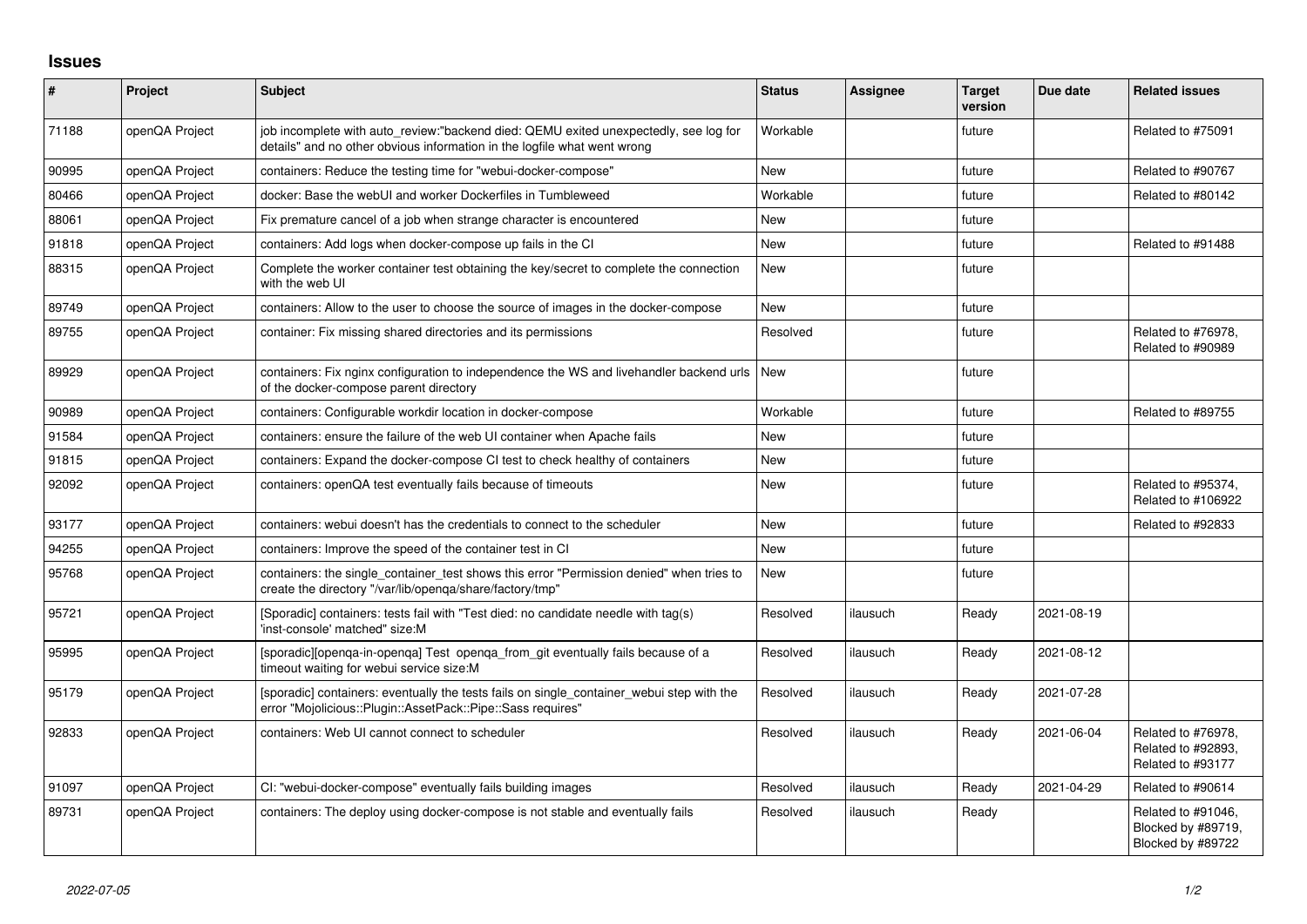## **Issues**

| $\vert$ # | Project        | <b>Subject</b>                                                                                                                                                   | <b>Status</b> | Assignee | <b>Target</b><br>version | Due date   | <b>Related issues</b>                                         |
|-----------|----------------|------------------------------------------------------------------------------------------------------------------------------------------------------------------|---------------|----------|--------------------------|------------|---------------------------------------------------------------|
| 71188     | openQA Project | job incomplete with auto review:"backend died: QEMU exited unexpectedly, see log for<br>details" and no other obvious information in the logfile what went wrong | Workable      |          | future                   |            | Related to #75091                                             |
| 90995     | openQA Project | containers: Reduce the testing time for "webui-docker-compose"                                                                                                   | New           |          | future                   |            | Related to #90767                                             |
| 80466     | openQA Project | docker: Base the webUI and worker Dockerfiles in Tumbleweed                                                                                                      | Workable      |          | future                   |            | Related to #80142                                             |
| 88061     | openQA Project | Fix premature cancel of a job when strange character is encountered                                                                                              | New           |          | future                   |            |                                                               |
| 91818     | openQA Project | containers: Add logs when docker-compose up fails in the CI                                                                                                      | <b>New</b>    |          | future                   |            | Related to #91488                                             |
| 88315     | openQA Project | Complete the worker container test obtaining the key/secret to complete the connection<br>with the web UI                                                        | New           |          | future                   |            |                                                               |
| 89749     | openQA Project | containers: Allow to the user to choose the source of images in the docker-compose                                                                               | <b>New</b>    |          | future                   |            |                                                               |
| 89755     | openQA Project | container: Fix missing shared directories and its permissions                                                                                                    | Resolved      |          | future                   |            | Related to #76978,<br>Related to #90989                       |
| 89929     | openQA Project | containers: Fix nginx configuration to independence the WS and livehandler backend urls<br>of the docker-compose parent directory                                | <b>New</b>    |          | future                   |            |                                                               |
| 90989     | openQA Project | containers: Configurable workdir location in docker-compose                                                                                                      | Workable      |          | future                   |            | Related to #89755                                             |
| 91584     | openQA Project | containers: ensure the failure of the web UI container when Apache fails                                                                                         | <b>New</b>    |          | future                   |            |                                                               |
| 91815     | openQA Project | containers: Expand the docker-compose CI test to check healthy of containers                                                                                     | <b>New</b>    |          | future                   |            |                                                               |
| 92092     | openQA Project | containers: openQA test eventually fails because of timeouts                                                                                                     | <b>New</b>    |          | future                   |            | Related to #95374,<br>Related to #106922                      |
| 93177     | openQA Project | containers: webui doesn't has the credentials to connect to the scheduler                                                                                        | <b>New</b>    |          | future                   |            | Related to #92833                                             |
| 94255     | openQA Project | containers: Improve the speed of the container test in CI                                                                                                        | New           |          | future                   |            |                                                               |
| 95768     | openQA Project | containers: the single container test shows this error "Permission denied" when tries to<br>create the directory "/var/lib/openga/share/factory/tmp"             | New           |          | future                   |            |                                                               |
| 95721     | openQA Project | [Sporadic] containers: tests fail with "Test died: no candidate needle with tag(s)<br>'inst-console' matched" size:M                                             | Resolved      | ilausuch | Ready                    | 2021-08-19 |                                                               |
| 95995     | openQA Project | [sporadic][openqa-in-openqa] Test openqa_from_git eventually fails because of a<br>timeout waiting for webui service size:M                                      | Resolved      | ilausuch | Ready                    | 2021-08-12 |                                                               |
| 95179     | openQA Project | [sporadic] containers: eventually the tests fails on single_container_webui step with the<br>error "Mojolicious::Plugin::AssetPack::Pipe::Sass requires"         | Resolved      | ilausuch | Ready                    | 2021-07-28 |                                                               |
| 92833     | openQA Project | containers: Web UI cannot connect to scheduler                                                                                                                   | Resolved      | ilausuch | Ready                    | 2021-06-04 | Related to #76978,<br>Related to #92893.<br>Related to #93177 |
| 91097     | openQA Project | CI: "webui-docker-compose" eventually fails building images                                                                                                      | Resolved      | ilausuch | Ready                    | 2021-04-29 | Related to #90614                                             |
| 89731     | openQA Project | containers: The deploy using docker-compose is not stable and eventually fails                                                                                   | Resolved      | ilausuch | Ready                    |            | Related to #91046,<br>Blocked by #89719.<br>Blocked by #89722 |